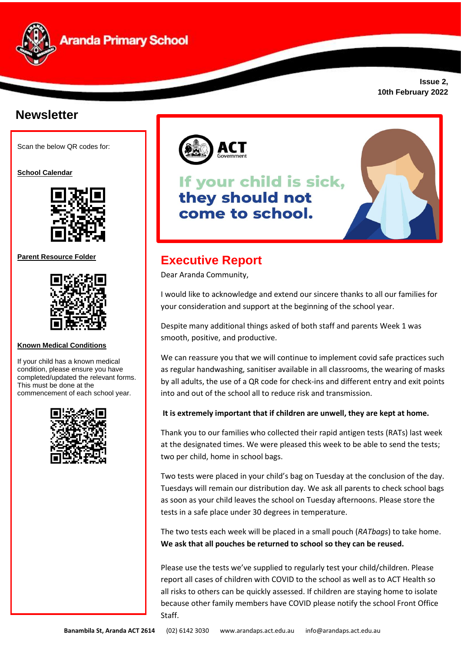

**Issue 2, 10th February 2022**

## **Newsletter**

Scan the below QR codes for:

**School Calendar** 



**Parent Resource Folder**



#### **Known Medical Conditions**

If your child has a known medical condition, please ensure you have completed/updated the relevant forms. This must be done at the commencement of each school year.





# If your child is sick, they should not come to school.



### **Executive Report**

Dear Aranda Community,

I would like to acknowledge and extend our sincere thanks to all our families for your consideration and support at the beginning of the school year.

Despite many additional things asked of both staff and parents Week 1 was smooth, positive, and productive.

We can reassure you that we will continue to implement covid safe practices such as regular handwashing, sanitiser available in all classrooms, the wearing of masks by all adults, the use of a QR code for check-ins and different entry and exit points into and out of the school all to reduce risk and transmission.

#### **It is extremely important that if children are unwell, they are kept at home.**

Thank you to our families who collected their rapid antigen tests (RATs) last week at the designated times. We were pleased this week to be able to send the tests; two per child, home in school bags.

Two tests were placed in your child's bag on Tuesday at the conclusion of the day. Tuesdays will remain our distribution day. We ask all parents to check school bags as soon as your child leaves the school on Tuesday afternoons. Please store the tests in a safe place under 30 degrees in temperature.

The two tests each week will be placed in a small pouch (*RATbags*) to take home. **We ask that all pouches be returned to school so they can be reused.**

Please use the tests we've supplied to regularly test your child/children. Please report all cases of children with COVID to the school as well as to ACT Health so all risks to others can be quickly assessed. If children are staying home to isolate because other family members have COVID please notify the school Front Office Staff.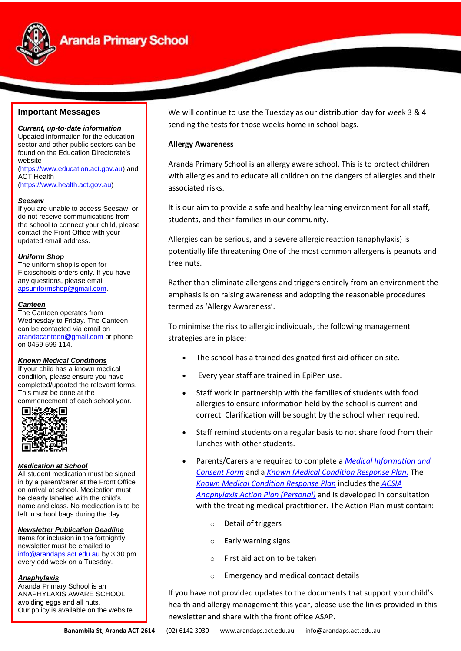

## **Aranda Primary School**

#### **Important Messages**

*Current, up-to-date information* Updated information for the education sector and other public sectors can be found on the Education Directorate's website [\(https://www.education.act.gov.au\)](https://www.education.act.gov.au/) and

ACT Health [\(https://www.health.act.gov.au\)](https://www.health.act.gov.au/)

#### *Seesaw*

If you are unable to access Seesaw, or do not receive communications from the school to connect your child, please contact the Front Office with your updated email address.

#### *Uniform Shop*

The uniform shop is open for Flexischools orders only. If you have any questions, please email [apsuniformshop@gmail.com.](mailto:apsuniformshop@gmail.com)

#### *Canteen*

The Canteen operates from Wednesday to Friday. The Canteen can be contacted via email on [arandacanteen@gmail.com](mailto:arandacanteen@gmail.com) or phone on 0459 599 114.

#### *Known Medical Conditions*

If your child has a known medical condition, please ensure you have completed/updated the relevant forms. This must be done at the

commencement of each school year.<br> **■监察官** 



#### *Medication at School*

All student medication must be signed in by a parent/carer at the Front Office on arrival at school. Medication must be clearly labelled with the child's name and class. No medication is to be left in school bags during the day.

#### *Newsletter Publication Deadline*

Items for inclusion in the fortnightly newsletter must be emailed to [info@arandaps.act.edu.au](mailto:info@arandaps.act.edu.au) by 3.30 pm every odd week on a Tuesday.

#### *Anaphylaxis*

Aranda Primary School is an ANAPHYLAXIS AWARE SCHOOL avoiding eggs and all nuts. Our policy is available on the website. We will continue to use the Tuesday as our distribution day for week 3 & 4 sending the tests for those weeks home in school bags.

#### **Allergy Awareness**

Aranda Primary School is an allergy aware school. This is to protect children with allergies and to educate all children on the dangers of allergies and their associated risks.

It is our aim to provide a safe and healthy learning environment for all staff, students, and their families in our community.

Allergies can be serious, and a severe allergic reaction (anaphylaxis) is potentially life threatening One of the most common allergens is peanuts and tree nuts.

Rather than eliminate allergens and triggers entirely from an environment the emphasis is on raising awareness and adopting the reasonable procedures termed as 'Allergy Awareness'.

To minimise the risk to allergic individuals, the following management strategies are in place:

- The school has a trained designated first aid officer on site.
- Every year staff are trained in EpiPen use.
- Staff work in partnership with the families of students with food allergies to ensure information held by the school is current and correct. Clarification will be sought by the school when required.
- Staff remind students on a regular basis to not share food from their lunches with other students.
- Parents/Carers are required to complete a *[Medical Information and](https://drive.google.com/drive/u/0/folders/12zQf6pT_eM5pLIZizMsaRqtn2-hZKyv9)  [Consent](https://drive.google.com/drive/u/0/folders/12zQf6pT_eM5pLIZizMsaRqtn2-hZKyv9) Form* and a *[Known Medical Condition Response Plan.](https://drive.google.com/drive/u/0/folders/12zQf6pT_eM5pLIZizMsaRqtn2-hZKyv9)* Th[e](https://drive.google.com/drive/u/0/folders/12zQf6pT_eM5pLIZizMsaRqtn2-hZKyv9) *[Known Medical Condition Response Plan](https://drive.google.com/drive/u/0/folders/12zQf6pT_eM5pLIZizMsaRqtn2-hZKyv9)* includes the *[ACSIA](http://www.allergy.org.au/health-professionals/ascia-plans-action-and-treatment)  [Anaphylaxis Action Plan \(Personal\)](http://www.allergy.org.au/health-professionals/ascia-plans-action-and-treatment)* and is developed in consultation with the treating medical practitioner. The Action Plan must contain:
	- o Detail of triggers
	- o Early warning signs
	- o First aid action to be taken
	- o Emergency and medical contact details

If you have not provided updates to the documents that support your child's health and allergy management this year, please use the links provided in this newsletter and share with the front office ASAP.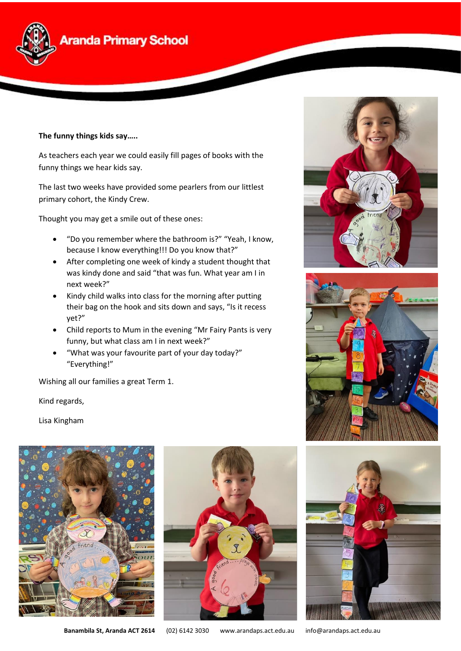

#### **The funny things kids say…..**

As teachers each year we could easily fill pages of books with the funny things we hear kids say.

The last two weeks have provided some pearlers from our littlest primary cohort, the Kindy Crew.

Thought you may get a smile out of these ones:

- "Do you remember where the bathroom is?" "Yeah, I know, because I know everything!!! Do you know that?"
- After completing one week of kindy a student thought that was kindy done and said "that was fun. What year am I in next week?"
- Kindy child walks into class for the morning after putting their bag on the hook and sits down and says, "Is it recess yet?"
- Child reports to Mum in the evening "Mr Fairy Pants is very funny, but what class am I in next week?"
- "What was your favourite part of your day today?" "Everything!"

Wishing all our families a great Term 1.

Kind regards,

Lisa Kingham